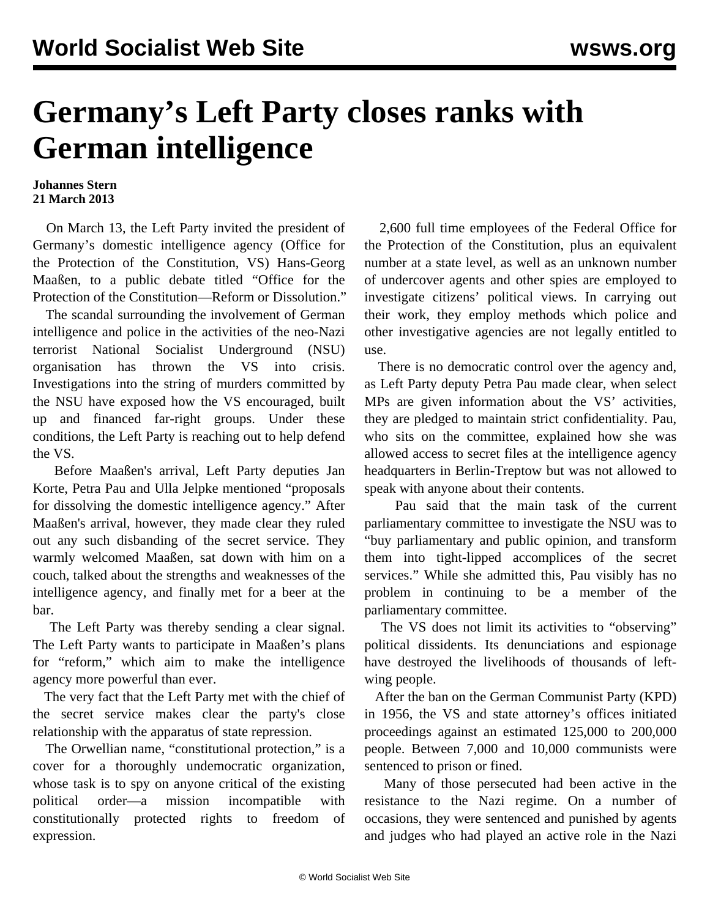## **Germany's Left Party closes ranks with German intelligence**

## **Johannes Stern 21 March 2013**

 On March 13, the Left Party invited the president of Germany's domestic intelligence agency (Office for the Protection of the Constitution, VS) Hans-Georg Maaßen, to a public debate titled "Office for the Protection of the Constitution—Reform or Dissolution."

 The scandal surrounding the involvement of German intelligence and police in the activities of the neo-Nazi terrorist National Socialist Underground (NSU) organisation has thrown the VS into crisis. Investigations into the string of murders committed by the NSU have exposed how the VS encouraged, built up and financed far-right groups. Under these conditions, the Left Party is reaching out to help defend the VS.

 Before Maaßen's arrival, Left Party deputies Jan Korte, Petra Pau and Ulla Jelpke mentioned "proposals for dissolving the domestic intelligence agency." After Maaßen's arrival, however, they made clear they ruled out any such disbanding of the secret service. They warmly welcomed Maaßen, sat down with him on a couch, talked about the strengths and weaknesses of the intelligence agency, and finally met for a beer at the bar.

 The Left Party was thereby sending a clear signal. The Left Party wants to participate in Maaßen's plans for "reform," which aim to make the intelligence agency more powerful than ever.

 The very fact that the Left Party met with the chief of the secret service makes clear the party's close relationship with the apparatus of state repression.

 The Orwellian name, "constitutional protection," is a cover for a thoroughly undemocratic organization, whose task is to spy on anyone critical of the existing political order—a mission incompatible with constitutionally protected rights to freedom of expression.

 2,600 full time employees of the Federal Office for the Protection of the Constitution, plus an equivalent number at a state level, as well as an unknown number of undercover agents and other spies are employed to investigate citizens' political views. In carrying out their work, they employ methods which police and other investigative agencies are not legally entitled to use.

 There is no democratic control over the agency and, as Left Party deputy Petra Pau made clear, when select MPs are given information about the VS' activities, they are pledged to maintain strict confidentiality. Pau, who sits on the committee, explained how she was allowed access to secret files at the intelligence agency headquarters in Berlin-Treptow but was not allowed to speak with anyone about their contents.

 Pau said that the main task of the current parliamentary committee to investigate the NSU was to "buy parliamentary and public opinion, and transform them into tight-lipped accomplices of the secret services." While she admitted this, Pau visibly has no problem in continuing to be a member of the parliamentary committee.

 The VS does not limit its activities to "observing" political dissidents. Its denunciations and espionage have destroyed the livelihoods of thousands of leftwing people.

 After the ban on the German Communist Party (KPD) in 1956, the VS and state attorney's offices initiated proceedings against an estimated 125,000 to 200,000 people. Between 7,000 and 10,000 communists were sentenced to prison or fined.

 Many of those persecuted had been active in the resistance to the Nazi regime. On a number of occasions, they were sentenced and punished by agents and judges who had played an active role in the Nazi